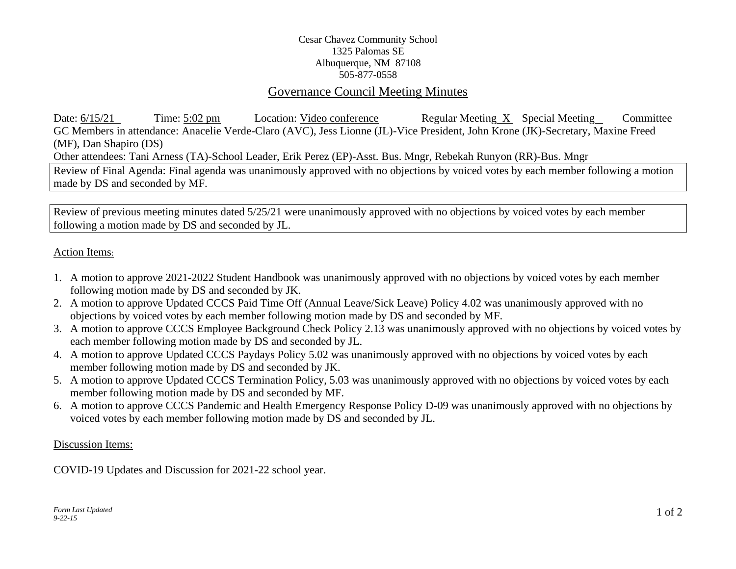## Cesar Chavez Community School 1325 Palomas SE Albuquerque, NM 87108 505-877-0558

# Governance Council Meeting Minutes

Date: 6/15/21 Time: 5:02 pm Location: Video conference Regular Meeting X Special Meeting Committee GC Members in attendance: Anacelie Verde-Claro (AVC), Jess Lionne (JL)-Vice President, John Krone (JK)-Secretary, Maxine Freed (MF), Dan Shapiro (DS) Other attendees: Tani Arness (TA)-School Leader, Erik Perez (EP)-Asst. Bus. Mngr, Rebekah Runyon (RR)-Bus. Mngr Review of Final Agenda: Final agenda was unanimously approved with no objections by voiced votes by each member following a motion

made by DS and seconded by MF.

Review of previous meeting minutes dated 5/25/21 were unanimously approved with no objections by voiced votes by each member following a motion made by DS and seconded by JL.

## Action Items:

- 1. A motion to approve 2021-2022 Student Handbook was unanimously approved with no objections by voiced votes by each member following motion made by DS and seconded by JK.
- 2. A motion to approve Updated CCCS Paid Time Off (Annual Leave/Sick Leave) Policy 4.02 was unanimously approved with no objections by voiced votes by each member following motion made by DS and seconded by MF.
- 3. A motion to approve CCCS Employee Background Check Policy 2.13 was unanimously approved with no objections by voiced votes by each member following motion made by DS and seconded by JL.
- 4. A motion to approve Updated CCCS Paydays Policy 5.02 was unanimously approved with no objections by voiced votes by each member following motion made by DS and seconded by JK.
- 5. A motion to approve Updated CCCS Termination Policy, 5.03 was unanimously approved with no objections by voiced votes by each member following motion made by DS and seconded by MF.
- 6. A motion to approve CCCS Pandemic and Health Emergency Response Policy D-09 was unanimously approved with no objections by voiced votes by each member following motion made by DS and seconded by JL.

#### Discussion Items:

COVID-19 Updates and Discussion for 2021-22 school year.